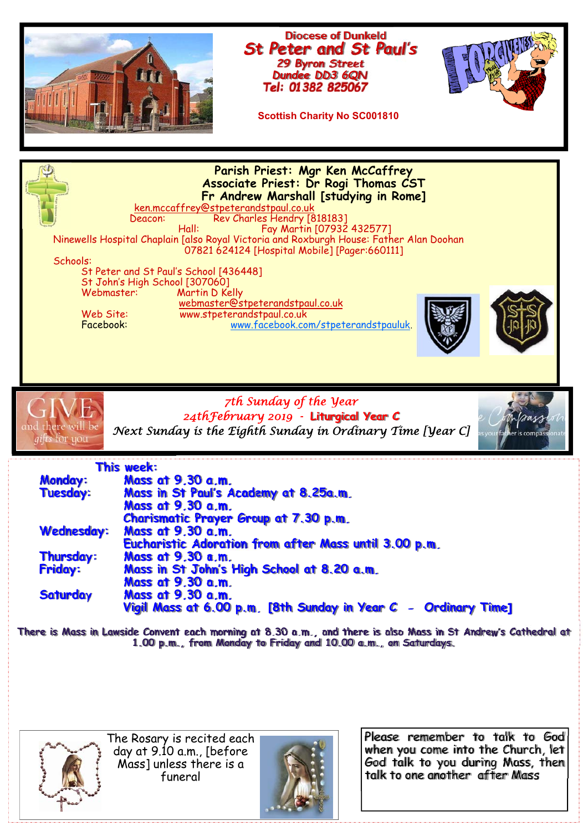



The Rosary is recited each day at 9.10 a.m., [before Mass] unless there is a funeral



Please remember to talk to God when you come into the Church, let God talk to you during Mass, then talk to one another after Mass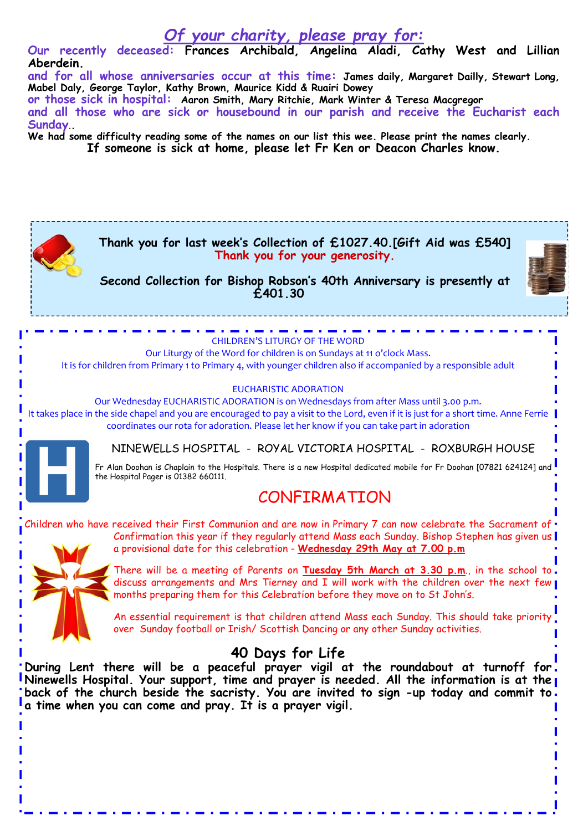## *Of your charity, please pray for:*  **Our recently deceased: Frances Archibald, Angelina Aladi, Cathy West and Lillian Aberdein. and for all whose anniversaries occur at this time: James daily, Margaret Dailly, Stewart Long, Mabel Daly, George Taylor, Kathy Brown, Maurice Kidd & Ruairi Dowey or those sick in hospital: Aaron Smith, Mary Ritchie, Mark Winter & Teresa Macgregor and all those who are sick or housebound in our parish and receive the Eucharist each Sunday**.**. We had some difficulty reading some of the names on our list this wee. Please print the names clearly. If someone is sick at home, please let Fr Ken or Deacon Charles know. Thank you for last week's Collection of £1027.40.[Gift Aid was £540] Thank you for your generosity. Second Collection for Bishop Robson's 40th Anniversary is presently at £401.30**  CHILDREN'S LITURGY OF THE WORD Our Liturgy of the Word for children is on Sundays at 11 o'clock Mass. It is for children from Primary 1 to Primary 4, with younger children also if accompanied by a responsible adult EUCHARISTIC ADORATION Our Wednesday EUCHARISTIC ADORATION is on Wednesdays from after Mass until 3.00 p.m. It takes place in the side chapel and you are encouraged to pay a visit to the Lord, even if it is just for a short time. Anne Ferrie coordinates our rota for adoration. Please let her know if you can take part in adoration NINEWELLS HOSPITAL - ROYAL VICTORIA HOSPITAL - ROXBURGH HOUSE Fr Alan Doohan is Chaplain to the Hospitals. There is a new Hospital dedicated mobile for Fr Doohan [07821 624124] and the Hospital Pager is 01382 660111. CONFIRMATION Children who have received their First Communion and are now in Primary 7 can now celebrate the Sacrament of Confirmation this year if they regularly attend Mass each Sunday. Bishop Stephen has given us a provisional date for this celebration - **Wednesday 29th May at 7.00 p.m** There will be a meeting of Parents on **Tuesday 5th March at 3.30 p.m**., in the school to discuss arrangements and Mrs Tierney and I will work with the children over the next few months preparing them for this Celebration before they move on to St John's. An essential requirement is that children attend Mass each Sunday. This should take priority over Sunday football or Irish/ Scottish Dancing or any other Sunday activities. **40 Days for Life During Lent there will be a peaceful prayer vigil at the roundabout at turnoff for Ninewells Hospital. Your support, time and prayer is needed. All the information is at the**  back of the church beside the sacristy. You are invited to sign -up today and commit to. **a time when you can come and pray. It is a prayer vigil.**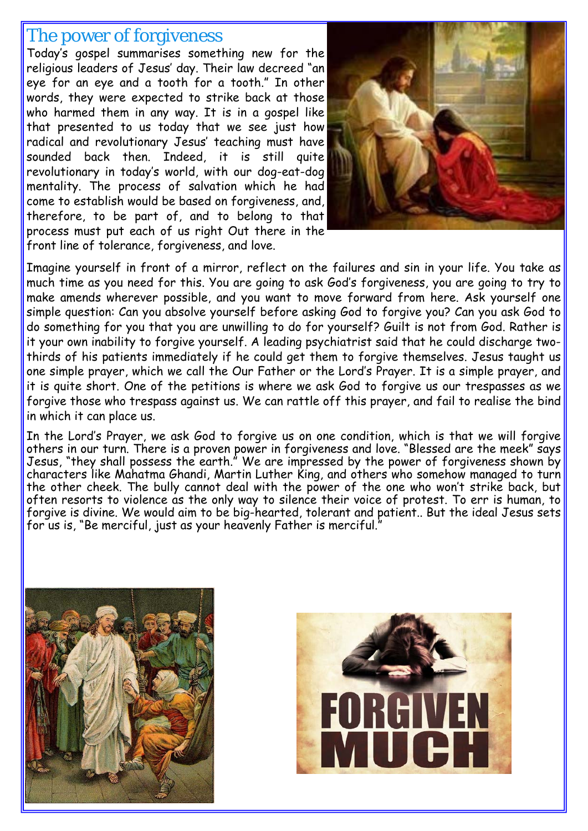## The power of forgiveness

Today's gospel summarises something new for the religious leaders of Jesus' day. Their law decreed "an eye for an eye and a tooth for a tooth." In other words, they were expected to strike back at those who harmed them in any way. It is in a gospel like that presented to us today that we see just how radical and revolutionary Jesus' teaching must have sounded back then. Indeed, it is still quite revolutionary in today's world, with our dog-eat-dog mentality. The process of salvation which he had come to establish would be based on forgiveness, and, therefore, to be part of, and to belong to that process must put each of us right Out there in the front line of tolerance, forgiveness, and love.



Imagine yourself in front of a mirror, reflect on the failures and sin in your life. You take as much time as you need for this. You are going to ask God's forgiveness, you are going to try to make amends wherever possible, and you want to move forward from here. Ask yourself one simple question: Can you absolve yourself before asking God to forgive you? Can you ask God to do something for you that you are unwilling to do for yourself? Guilt is not from God. Rather is it your own inability to forgive yourself. A leading psychiatrist said that he could discharge twothirds of his patients immediately if he could get them to forgive themselves. Jesus taught us one simple prayer, which we call the Our Father or the Lord's Prayer. It is a simple prayer, and it is quite short. One of the petitions is where we ask God to forgive us our trespasses as we forgive those who trespass against us. We can rattle off this prayer, and fail to realise the bind in which it can place us.

In the Lord's Prayer, we ask God to forgive us on one condition, which is that we will forgive others in our turn. There is a proven power in forgiveness and love. "Blessed are the meek" says Jesus, "they shall possess the earth." We are impressed by the power of forgiveness shown by characters like Mahatma Ghandi, Martin Luther King, and others who somehow managed to turn the other cheek. The bully cannot deal with the power of the one who won't strike back, but often resorts to violence as the only way to silence their voice of protest. To err is human, to forgive is divine. We would aim to be big-hearted, tolerant and patient.. But the ideal Jesus sets for us is, "Be merciful, just as your heavenly Father is merciful."